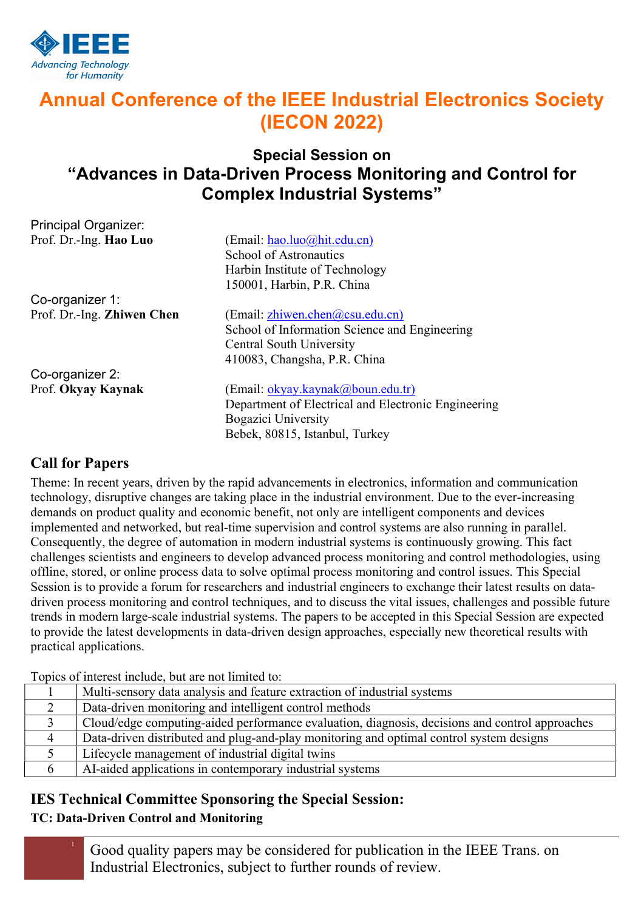

Principal Organizer:

# Annual Conference of the IEEE Industrial Electronics Society (IECON 2022)

## Special Session on "Advances in Data-Driven Process Monitoring and Control for Complex Industrial Systems"

| Fililoipal Organizer.      |                                                     |
|----------------------------|-----------------------------------------------------|
| Prof. Dr.-Ing. Hao Luo     | (Email: hao.luo@hit.edu.cn)                         |
|                            | School of Astronautics                              |
|                            | Harbin Institute of Technology                      |
|                            | 150001, Harbin, P.R. China                          |
| Co-organizer 1:            |                                                     |
| Prof. Dr.-Ing. Zhiwen Chen | (Email: zhiwen.chen@csu.edu.cn)                     |
|                            | School of Information Science and Engineering       |
|                            | <b>Central South University</b>                     |
|                            | 410083, Changsha, P.R. China                        |
| Co-organizer 2:            |                                                     |
| Prof. Okyay Kaynak         | (Email: okyay.kaynak@boun.edu.tr)                   |
|                            | Department of Electrical and Electronic Engineering |
|                            | <b>Bogazici University</b>                          |
|                            | Bebek, 80815, Istanbul, Turkey                      |

### Call for Papers

Theme: In recent years, driven by the rapid advancements in electronics, information and communication technology, disruptive changes are taking place in the industrial environment. Due to the ever-increasing demands on product quality and economic benefit, not only are intelligent components and devices implemented and networked, but real-time supervision and control systems are also running in parallel. Consequently, the degree of automation in modern industrial systems is continuously growing. This fact challenges scientists and engineers to develop advanced process monitoring and control methodologies, using offline, stored, or online process data to solve optimal process monitoring and control issues. This Special Session is to provide a forum for researchers and industrial engineers to exchange their latest results on datadriven process monitoring and control techniques, and to discuss the vital issues, challenges and possible future trends in modern large-scale industrial systems. The papers to be accepted in this Special Session are expected to provide the latest developments in data-driven design approaches, especially new theoretical results with practical applications.

| TOPICS OF HILLICSU HIGHGIC, OUT ALC HOU HIHITCU TO. |                                                                                                |  |
|-----------------------------------------------------|------------------------------------------------------------------------------------------------|--|
|                                                     | Multi-sensory data analysis and feature extraction of industrial systems                       |  |
| $\overline{2}$                                      | Data-driven monitoring and intelligent control methods                                         |  |
|                                                     | Cloud/edge computing-aided performance evaluation, diagnosis, decisions and control approaches |  |
| 4                                                   | Data-driven distributed and plug-and-play monitoring and optimal control system designs        |  |
|                                                     | Lifecycle management of industrial digital twins                                               |  |
| 6                                                   | AI-aided applications in contemporary industrial systems                                       |  |

Topics of interest include, but are not limited to:

### IES Technical Committee Sponsoring the Special Session:

### TC: Data-Driven Control and Monitoring

<sup>1</sup> Good quality papers may be considered for publication in the IEEE Trans. on Industrial Electronics, subject to further rounds of review.